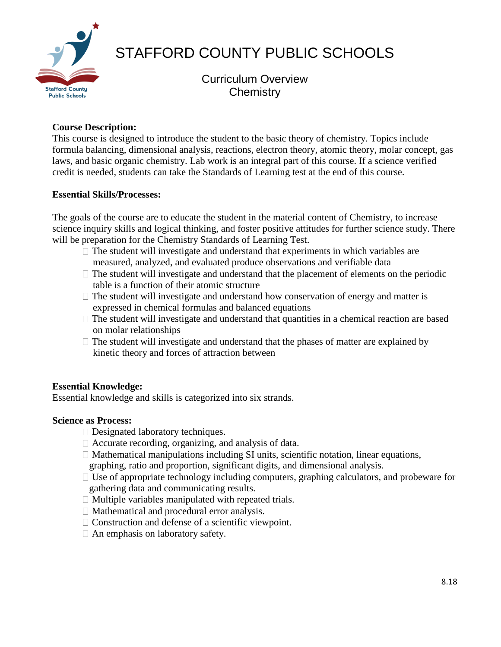

# STAFFORD COUNTY PUBLIC SCHOOLS

Curriculum Overview **Chemistry** 

# **Course Description:**

This course is designed to introduce the student to the basic theory of chemistry. Topics include formula balancing, dimensional analysis, reactions, electron theory, atomic theory, molar concept, gas laws, and basic organic chemistry. Lab work is an integral part of this course. If a science verified credit is needed, students can take the Standards of Learning test at the end of this course.

## **Essential Skills/Processes:**

The goals of the course are to educate the student in the material content of Chemistry, to increase science inquiry skills and logical thinking, and foster positive attitudes for further science study. There will be preparation for the Chemistry Standards of Learning Test.

- $\Box$  The student will investigate and understand that experiments in which variables are measured, analyzed, and evaluated produce observations and verifiable data
- $\Box$  The student will investigate and understand that the placement of elements on the periodic table is a function of their atomic structure
- $\Box$  The student will investigate and understand how conservation of energy and matter is expressed in chemical formulas and balanced equations
- $\Box$  The student will investigate and understand that quantities in a chemical reaction are based on molar relationships
- $\Box$  The student will investigate and understand that the phases of matter are explained by kinetic theory and forces of attraction between

# **Essential Knowledge:**

Essential knowledge and skills is categorized into six strands.

## **Science as Process:**

- Designated laboratory techniques.
- $\Box$  Accurate recording, organizing, and analysis of data.
- $\Box$  Mathematical manipulations including SI units, scientific notation, linear equations, graphing, ratio and proportion, significant digits, and dimensional analysis.
- $\Box$  Use of appropriate technology including computers, graphing calculators, and probeware for gathering data and communicating results.
- $\Box$  Multiple variables manipulated with repeated trials.
- $\Box$  Mathematical and procedural error analysis.
- $\Box$  Construction and defense of a scientific viewpoint.
- $\Box$  An emphasis on laboratory safety.